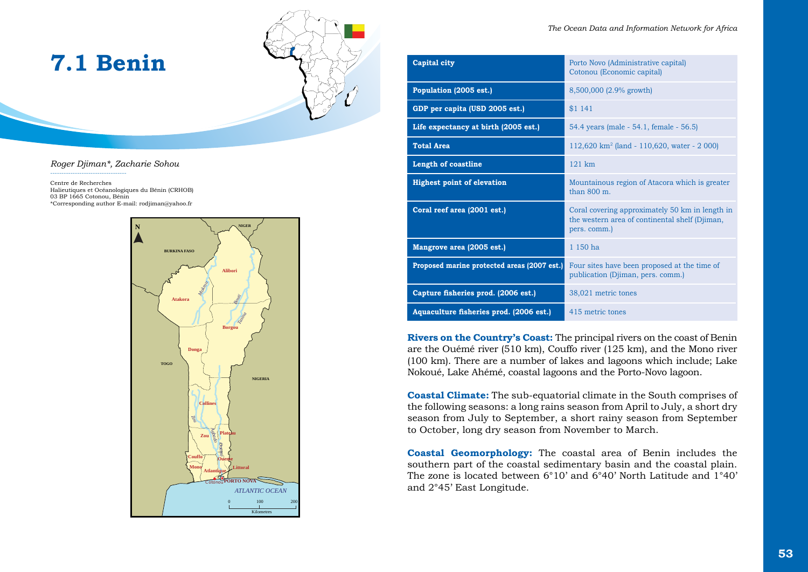# **7.1 Benin**



*Roger Djiman\*, Zacharie Sohou* 

----------------------------------

Centre de Recherches Halieutiques et Océanologiques du Bénin (CRHOB) 03 BP 1665 Cotonou, Bénin \*Corresponding author E-mail: rodjiman@yahoo.fr



| <b>Capital city</b>                         | Porto Novo (Administrative capital)<br>Cotonou (Economic capital)                                                 |
|---------------------------------------------|-------------------------------------------------------------------------------------------------------------------|
| Population (2005 est.)                      | 8,500,000 (2.9% growth)                                                                                           |
| GDP per capita (USD 2005 est.)              | \$1 141                                                                                                           |
| Life expectancy at birth (2005 est.)        | 54.4 years (male - 54.1, female - 56.5)                                                                           |
| <b>Total Area</b>                           | 112,620 km <sup>2</sup> (land - 110,620, water - 2 000)                                                           |
| <b>Length of coastline</b>                  | $121 \text{ km}$                                                                                                  |
| <b>Highest point of elevation</b>           | Mountainous region of Atacora which is greater<br>than $800 \text{ m}$ .                                          |
| Coral reef area (2001 est.)                 | Coral covering approximately 50 km in length in<br>the western area of continental shelf (Djiman,<br>pers. comm.) |
| Mangrove area (2005 est.)                   | 1150 <sub>ha</sub>                                                                                                |
| Proposed marine protected areas (2007 est.) | Four sites have been proposed at the time of<br>publication (Djiman, pers. comm.)                                 |
| Capture fisheries prod. (2006 est.)         | 38,021 metric tones                                                                                               |
| Aquaculture fisheries prod. (2006 est.)     | 415 metric tones                                                                                                  |

**Rivers on the Country's Coast:** The principal rivers on the coast of Benin are the Ouémé river (510 km), Couffo river (125 km), and the Mono river (100 km). There are a number of lakes and lagoons which include; Lake Nokoué, Lake Ahémé, coastal lagoons and the Porto-Novo lagoon.

**Coastal Climate:** The sub-equatorial climate in the South comprises of the following seasons: a long rains season from April to July, a short dry season from July to September, a short rainy season from September to October, long dry season from November to March.

**Coastal Geomorphology:** The coastal area of Benin includes the southern part of the coastal sedimentary basin and the coastal plain. The zone is located between 6°10' and 6°40' North Latitude and 1°40' and 2°45' East Longitude.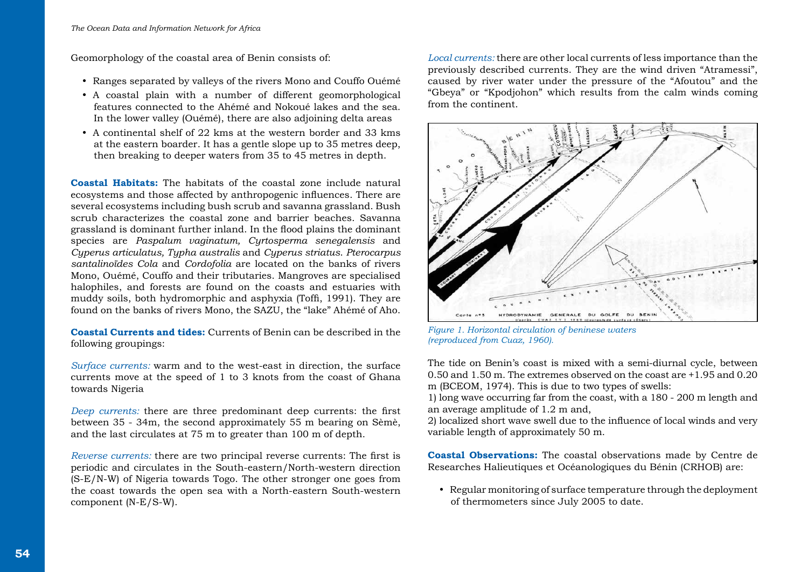Geomorphology of the coastal area of Benin consists of:

- Ranges separated by valleys of the rivers Mono and Couffo Ouémé
- A coastal plain with a number of different geomorphological features connected to the Ahémé and Nokoué lakes and the sea. In the lower valley (Ouémé), there are also adjoining delta areas
- A continental shelf of 22 kms at the western border and 33 kms at the eastern boarder. It has a gentle slope up to 35 metres deep, then breaking to deeper waters from 35 to 45 metres in depth.

**Coastal Habitats:** The habitats of the coastal zone include natural ecosystems and those affected by anthropogenic influences. There are several ecosystems including bush scrub and savanna grassland. Bush scrub characterizes the coastal zone and barrier beaches. Savanna grassland is dominant further inland. In the flood plains the dominant species are *Paspalum vaginatum, Cyrtosperma senegalensis* and *Cyperus articulatus, Typha australis* and *Cyperus striatus*. *Pterocarpus santalinoïdes Cola* and *Cordofolia* are located on the banks of rivers Mono, Ouémé, Couffo and their tributaries. Mangroves are specialised halophiles, and forests are found on the coasts and estuaries with muddy soils, both hydromorphic and asphyxia (Toffi, 1991). They are found on the banks of rivers Mono, the SAZU, the "lake" Ahémé of Aho.

**Coastal Currents and tides:** Currents of Benin can be described in the following groupings:

*Surface currents:* warm and to the west-east in direction, the surface currents move at the speed of 1 to 3 knots from the coast of Ghana towards Nigeria

*Deep currents:* there are three predominant deep currents: the first between 35 - 34m, the second approximately 55 m bearing on Sèmè, and the last circulates at 75 m to greater than 100 m of depth.

*Reverse currents:* there are two principal reverse currents: The first is periodic and circulates in the South-eastern/North-western direction (S-E/N-W) of Nigeria towards Togo. The other stronger one goes from the coast towards the open sea with a North-eastern South-western component (N-E/S-W).

*Local currents:* there are other local currents of less importance than the previously described currents. They are the wind driven "Atramessi", caused by river water under the pressure of the "Afoutou" and the "Gbeya" or "Kpodjohon" which results from the calm winds coming from the continent.



*Figure 1. Horizontal circulation of beninese waters (reproduced from Cuaz, 1960).*

The tide on Benin's coast is mixed with a semi-diurnal cycle, between 0.50 and 1.50 m. The extremes observed on the coast are +1.95 and 0.20 m (BCEOM, 1974). This is due to two types of swells:

1) long wave occurring far from the coast, with a 180 - 200 m length and an average amplitude of 1.2 m and,

2) localized short wave swell due to the influence of local winds and very variable length of approximately 50 m.

**Coastal Observations:** The coastal observations made by Centre de Researches Halieutiques et Océanologiques du Bénin (CRHOB) are:

• Regular monitoring of surface temperature through the deployment of thermometers since July 2005 to date.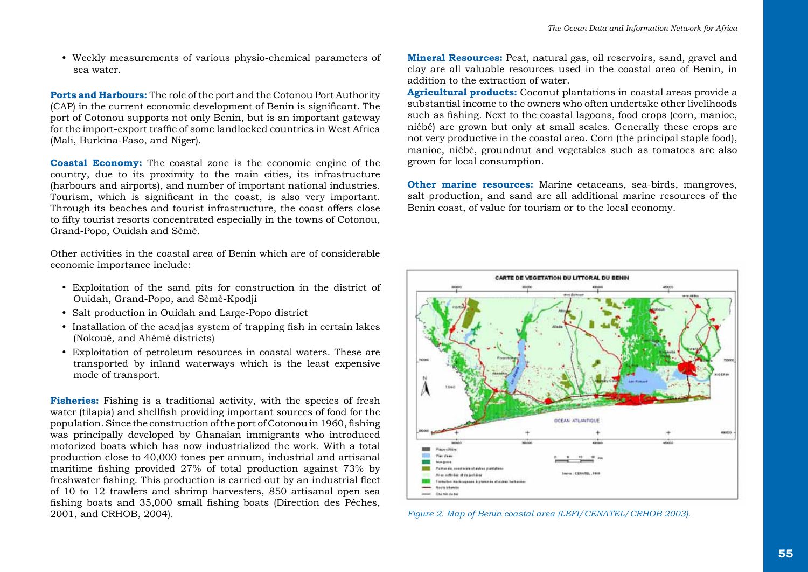• Weekly measurements of various physio-chemical parameters of sea water.

**Ports and Harbours:** The role of the port and the Cotonou Port Authority (CAP) in the current economic development of Benin is significant. The port of Cotonou supports not only Benin, but is an important gateway for the import-export traffic of some landlocked countries in West Africa (Mali, Burkina-Faso, and Niger).

**Coastal Economy:** The coastal zone is the economic engine of the country, due to its proximity to the main cities, its infrastructure (harbours and airports), and number of important national industries. Tourism, which is significant in the coast, is also very important. Through its beaches and tourist infrastructure, the coast offers close to fifty tourist resorts concentrated especially in the towns of Cotonou, Grand-Popo, Ouidah and Sèmè.

Other activities in the coastal area of Benin which are of considerable economic importance include:

- y Exploitation of the sand pits for construction in the district of Ouidah, Grand-Popo, and Sèmè-Kpodji
- Salt production in Ouidah and Large-Popo district
- Installation of the acadias system of trapping fish in certain lakes (Nokoué, and Ahémé districts)
- Exploitation of petroleum resources in coastal waters. These are transported by inland waterways which is the least expensive mode of transport.

**Fisheries:** Fishing is a traditional activity, with the species of fresh water (tilapia) and shellfish providing important sources of food for the population. Since the construction of the port of Cotonou in 1960, fishing was principally developed by Ghanaian immigrants who introduced motorized boats which has now industrialized the work. With a total production close to 40,000 tones per annum, industrial and artisanal maritime fishing provided 27% of total production against 73% by freshwater fishing. This production is carried out by an industrial fleet of 10 to 12 trawlers and shrimp harvesters, 850 artisanal open sea fishing boats and 35,000 small fishing boats (Direction des Pêches, **Mineral Resources:** Peat, natural gas, oil reservoirs, sand, gravel and clay are all valuable resources used in the coastal area of Benin, in addition to the extraction of water.

**Agricultural products:** Coconut plantations in coastal areas provide a substantial income to the owners who often undertake other livelihoods such as fishing. Next to the coastal lagoons, food crops (corn, manioc, niébé) are grown but only at small scales. Generally these crops are not very productive in the coastal area. Corn (the principal staple food), manioc, niébé, groundnut and vegetables such as tomatoes are also grown for local consumption.

**Other marine resources:** Marine cetaceans, sea-birds, mangroves, salt production, and sand are all additional marine resources of the Benin coast, of value for tourism or to the local economy.



Figure 2. Map of Benin coastal area (LEFI/CENATEL/CRHOB 2003).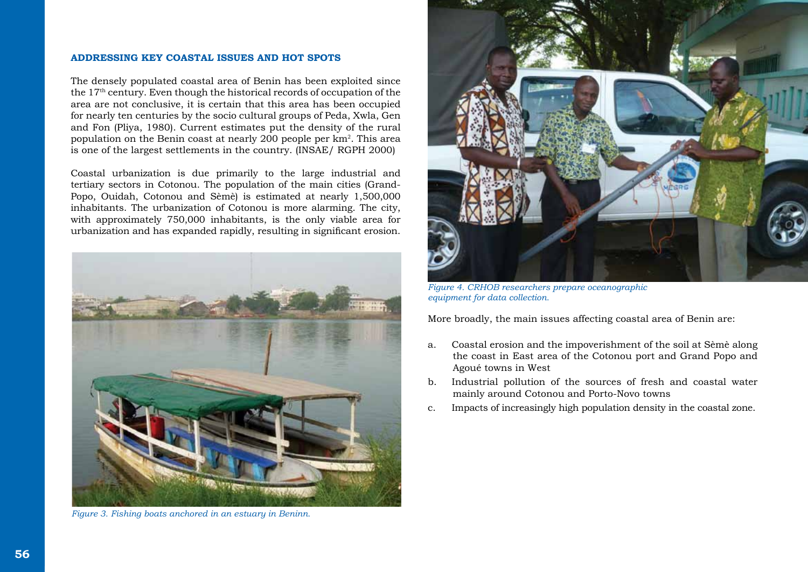#### **ADDRESSING KEY COASTAL ISSUES AND HOT SPOTS**

The densely populated coastal area of Benin has been exploited since the 17th century. Even though the historical records of occupation of the area are not conclusive, it is certain that this area has been occupied for nearly ten centuries by the socio cultural groups of Peda, Xwla, Gen and Fon (Pliya, 1980). Current estimates put the density of the rural population on the Benin coast at nearly 200 people per km2. This area is one of the largest settlements in the country. (INSAE/ RGPH 2000)

Coastal urbanization is due primarily to the large industrial and tertiary sectors in Cotonou. The population of the main cities (Grand-Popo, Ouidah, Cotonou and Sèmè) is estimated at nearly 1,500,000 inhabitants. The urbanization of Cotonou is more alarming. The city, with approximately 750,000 inhabitants, is the only viable area for urbanization and has expanded rapidly, resulting in significant erosion.



*Figure 3. Fishing boats anchored in an estuary in Beninn.* 



*Figure 4. CRHOB researchers prepare oceanographic equipment for data collection.*

More broadly, the main issues affecting coastal area of Benin are:

- a. Coastal erosion and the impoverishment of the soil at Sèmè along the coast in East area of the Cotonou port and Grand Popo and Agoué towns in West
- b. Industrial pollution of the sources of fresh and coastal water mainly around Cotonou and Porto-Novo towns
- c. Impacts of increasingly high population density in the coastal zone.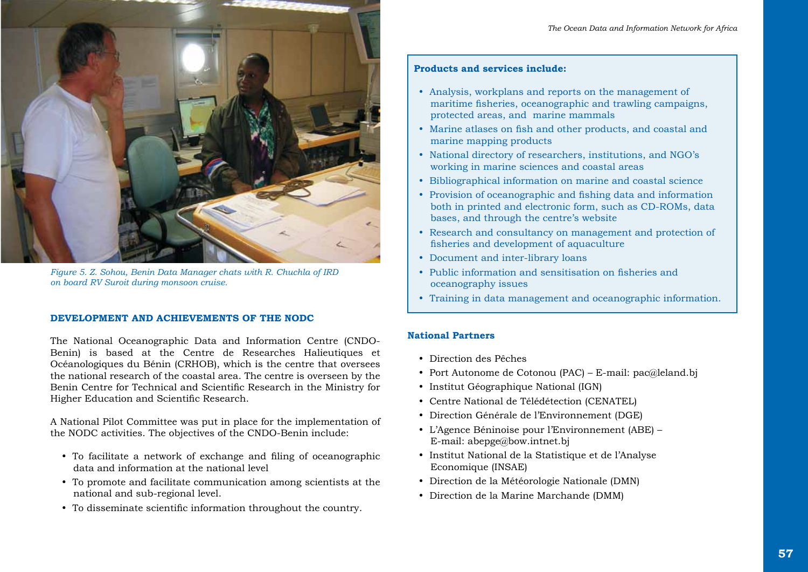

*Figure 5. Z. Sohou, Benin Data Manager chats with R. Chuchla of IRD on board RV Suroit during monsoon cruise.* 

#### **DEVELOPMENT AND ACHIEVEMENTS OF THE NODC**

The National Oceanographic Data and Information Centre (CNDO-Benin) is based at the Centre de Researches Halieutiques et Océanologiques du Bénin (CRHOB), which is the centre that oversees the national research of the coastal area. The centre is overseen by the Benin Centre for Technical and Scientific Research in the Ministry for Higher Education and Scientific Research.

A National Pilot Committee was put in place for the implementation of the NODC activities. The objectives of the CNDO-Benin include:

- To facilitate a network of exchange and filing of oceanographic data and information at the national level
- To promote and facilitate communication among scientists at the national and sub-regional level.
- To disseminate scientific information throughout the country.

## **Products and services include:**

- Analysis, workplans and reports on the management of maritime fisheries, oceanographic and trawling campaigns, protected areas, and marine mammals
- Marine atlases on fish and other products, and coastal and marine mapping products
- National directory of researchers, institutions, and NGO's working in marine sciences and coastal areas
- Bibliographical information on marine and coastal science
- Provision of oceanographic and fishing data and information both in printed and electronic form, such as CD-ROMs, data bases, and through the centre's website
- Research and consultancy on management and protection of fisheries and development of aquaculture
- Document and inter-library loans
- Public information and sensitisation on fisheries and oceanography issues
- Training in data management and oceanographic information.

### **National Partners**

- **•** Direction des Pêches
- y Port Autonome de Cotonou (PAC) E-mail: pac@leland.bj
- Institut Géographique National (IGN)
- Centre National de Télédétection (CENATEL)
- y Direction Générale de l'Environnement (DGE)
- y L'Agence Béninoise pour l'Environnement (ABE) E-mail: abepge@bow.intnet.bj
- y Institut National de la Statistique et de l'Analyse Economique (INSAE)
- y Direction de la Météorologie Nationale (DMN)
- Direction de la Marine Marchande (DMM)